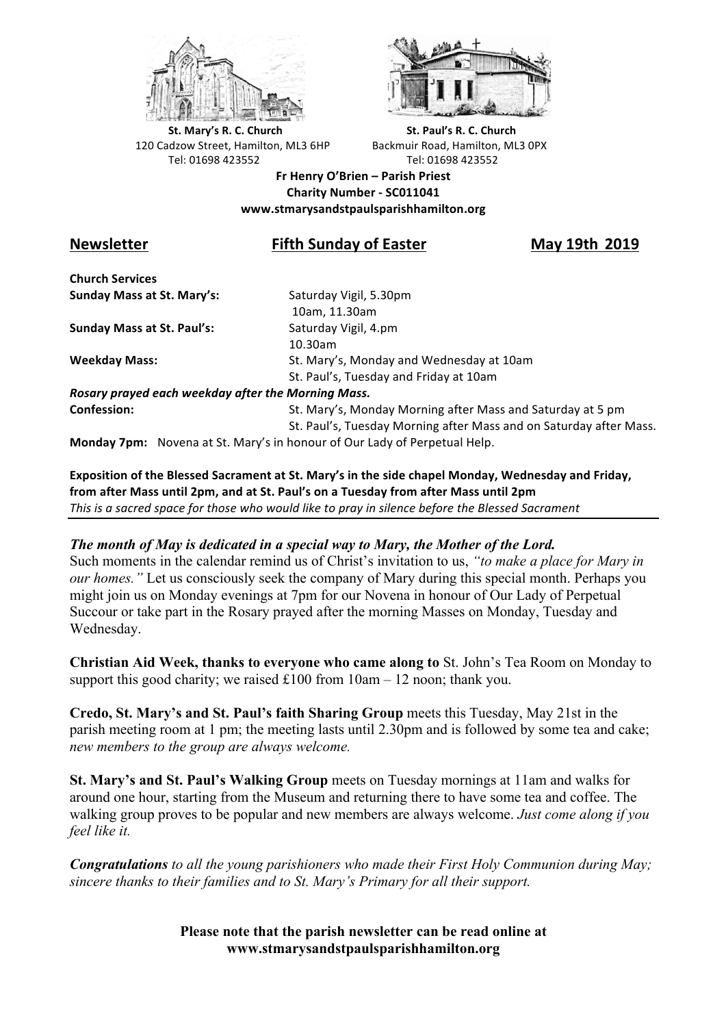



**St.** Mary's R. C. Church St. Paul's R. C. Church 120 Cadzow Street, Hamilton, ML3 6HP Backmuir Road, Hamilton, ML3 0PX Tel: 01698 423552 Tel: 01698 423552

**Fr Henry O'Brien – Parish Priest Charity Number - SC011041 www.stmarysandstpaulsparishhamilton.org**

# **Newsletter Fifth Sunday of Easter May 19th 2019**

**Church Services Sunday Mass at St. Mary's:** Saturday Vigil, 5.30pm

**Sunday Mass at St. Paul's:** Saturday Vigil, 4.pm

 10am, 11.30am 10.30am **Weekday Mass:** St. Mary's, Monday and Wednesday at 10am St. Paul's, Tuesday and Friday at 10am

*Rosary prayed each weekday after the Morning Mass.* **Confession:** St. Mary's, Monday Morning after Mass and Saturday at 5 pm

St. Paul's, Tuesday Morning after Mass and on Saturday after Mass.

**Monday 7pm:** Novena at St. Mary's in honour of Our Lady of Perpetual Help.

**Exposition of the Blessed Sacrament at St. Mary's in the side chapel Monday, Wednesday and Friday,** from after Mass until 2pm, and at St. Paul's on a Tuesday from after Mass until 2pm This is a sacred space for those who would like to pray in silence before the Blessed Sacrament

#### *The month of May is dedicated in a special way to Mary, the Mother of the Lord.*

Such moments in the calendar remind us of Christ's invitation to us, *"to make a place for Mary in our homes."* Let us consciously seek the company of Mary during this special month. Perhaps you might join us on Monday evenings at 7pm for our Novena in honour of Our Lady of Perpetual Succour or take part in the Rosary prayed after the morning Masses on Monday, Tuesday and Wednesday.

**Christian Aid Week, thanks to everyone who came along to** St. John's Tea Room on Monday to support this good charity; we raised  $£100$  from  $10am - 12$  noon; thank you.

**Credo, St. Mary's and St. Paul's faith Sharing Group** meets this Tuesday, May 21st in the parish meeting room at 1 pm; the meeting lasts until 2.30pm and is followed by some tea and cake; *new members to the group are always welcome.*

**St. Mary's and St. Paul's Walking Group** meets on Tuesday mornings at 11am and walks for around one hour, starting from the Museum and returning there to have some tea and coffee. The walking group proves to be popular and new members are always welcome. *Just come along if you feel like it.*

*Congratulations to all the young parishioners who made their First Holy Communion during May; sincere thanks to their families and to St. Mary's Primary for all their support.*

> **Please note that the parish newsletter can be read online at www.stmarysandstpaulsparishhamilton.org**